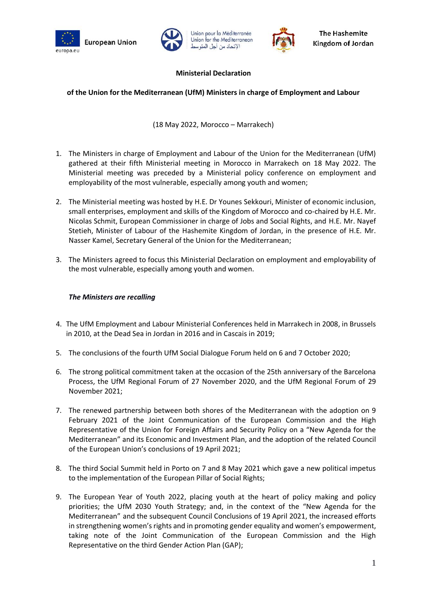





# **Ministerial Declaration**

Union pour la Méditerranée

Union for the Mediterranean

الإتحاد من أجل المتوسا

### **of the Union for the Mediterranean (UfM) Ministers in charge of Employment and Labour**

(18 May 2022, Morocco – Marrakech)

- 1. The Ministers in charge of Employment and Labour of the Union for the Mediterranean (UfM) gathered at their fifth Ministerial meeting in Morocco in Marrakech on 18 May 2022. The Ministerial meeting was preceded by a Ministerial policy conference on employment and employability of the most vulnerable, especially among youth and women;
- 2. The Ministerial meeting was hosted by H.E. Dr Younes Sekkouri, Minister of economic inclusion, small enterprises, employment and skills of the Kingdom of Morocco and co-chaired by H.E. Mr. Nicolas Schmit, European Commissioner in charge of Jobs and Social Rights, and H.E. Mr. Nayef Stetieh, Minister of Labour of the Hashemite Kingdom of Jordan, in the presence of H.E. Mr. Nasser Kamel, Secretary General of the Union for the Mediterranean;
- 3. The Ministers agreed to focus this Ministerial Declaration on employment and employability of the most vulnerable, especially among youth and women.

#### *The Ministers are recalling*

- 4. The UfM Employment and Labour Ministerial Conferences held in Marrakech in 2008, in Brussels in 2010, at the Dead Sea in Jordan in 2016 and in Cascais in 2019;
- 5. The conclusions of the fourth UfM Social Dialogue Forum held on 6 and 7 October 2020;
- 6. The strong political commitment taken at the occasion of the 25th anniversary of the Barcelona Process, the UfM Regional Forum of 27 November 2020, and the UfM Regional Forum of 29 November 2021;
- 7. The renewed partnership between both shores of the Mediterranean with the adoption on 9 February 2021 of the Joint Communication of the European Commission and the High Representative of the Union for Foreign Affairs and Security Policy on a "New Agenda for the Mediterranean" and its Economic and Investment Plan, and the adoption of the related Council of the European Union's conclusions of 19 April 2021;
- 8. The third Social Summit held in Porto on 7 and 8 May 2021 which gave a new political impetus to the implementation of the European Pillar of Social Rights;
- 9. The European Year of Youth 2022, placing youth at the heart of policy making and policy priorities; the UfM 2030 Youth Strategy; and, in the context of the "New Agenda for the Mediterranean" and the subsequent Council Conclusions of 19 April 2021, the increased efforts in strengthening women's rights and in promoting gender equality and women's empowerment, taking note of the Joint Communication of the European Commission and the High Representative on the third Gender Action Plan (GAP);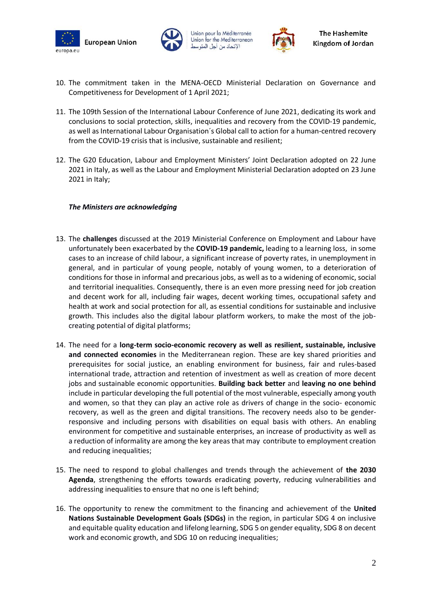





- 10. The commitment taken in the MENA-OECD Ministerial Declaration on Governance and Competitiveness for Development of 1 April 2021;
- 11. The 109th Session of the International Labour Conference of June 2021, dedicating its work and conclusions to social protection, skills, inequalities and recovery from the COVID-19 pandemic, as well as International Labour Organisation´s Global call to action for a human-centred recovery from the COVID-19 crisis that is inclusive, sustainable and resilient;
- 12. The G20 Education, Labour and Employment Ministers' Joint Declaration adopted on 22 June 2021 in Italy, as well as the Labour and Employment Ministerial Declaration adopted on 23 June 2021 in Italy;

## *The Ministers are acknowledging*

- 13. The **challenges** discussed at the 2019 Ministerial Conference on Employment and Labour have unfortunately been exacerbated by the **COVID-19 pandemic,** leading to a learning loss, in some cases to an increase of child labour, a significant increase of poverty rates, in unemployment in general, and in particular of young people, notably of young women, to a deterioration of conditions for those in informal and precarious jobs, as well as to a widening of economic, social and territorial inequalities. Consequently, there is an even more pressing need for job creation and decent work for all, including fair wages, decent working times, occupational safety and health at work and social protection for all, as essential conditions for sustainable and inclusive growth. This includes also the digital labour platform workers, to make the most of the jobcreating potential of digital platforms;
- 14. The need for a **long-term socio-economic recovery as well as resilient, sustainable, inclusive and connected economies** in the Mediterranean region. These are key shared priorities and prerequisites for social justice, an enabling environment for business, fair and rules-based international trade, attraction and retention of investment as well as creation of more decent jobs and sustainable economic opportunities. **Building back better** and **leaving no one behind** include in particular developing the full potential of the most vulnerable, especially among youth and women, so that they can play an active role as drivers of change in the socio- economic recovery, as well as the green and digital transitions. The recovery needs also to be genderresponsive and including persons with disabilities on equal basis with others. An enabling environment for competitive and sustainable enterprises, an increase of productivity as well as a reduction of informality are among the key areas that may contribute to employment creation and reducing inequalities;
- 15. The need to respond to global challenges and trends through the achievement of **the 2030 Agenda**, strengthening the efforts towards eradicating poverty, reducing vulnerabilities and addressing inequalities to ensure that no one is left behind;
- 16. The opportunity to renew the commitment to the financing and achievement of the **United Nations Sustainable Development Goals (SDGs)** in the region, in particular SDG 4 on inclusive and equitable quality education and lifelong learning, SDG 5 on gender equality, SDG 8 on decent work and economic growth, and SDG 10 on reducing inequalities;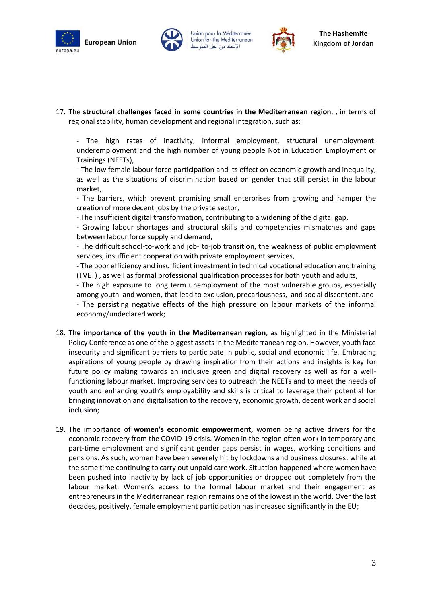





17. The **structural challenges faced in some countries in the Mediterranean region**, , in terms of regional stability, human development and regional integration, such as:

- The high rates of inactivity, informal employment, structural unemployment, underemployment and the high number of young people Not in Education Employment or Trainings (NEETs),

- The low female labour force participation and its effect on economic growth and inequality, as well as the situations of discrimination based on gender that still persist in the labour market,

- The barriers, which prevent promising small enterprises from growing and hamper the creation of more decent jobs by the private sector,

- The insufficient digital transformation, contributing to a widening of the digital gap,

- Growing labour shortages and structural skills and competencies mismatches and gaps between labour force supply and demand,

- The difficult school-to-work and job- to-job transition, the weakness of public employment services, insufficient cooperation with private employment services,

- The poor efficiency and insufficient investment in technical vocational education and training (TVET) , as well as formal professional qualification processes for both youth and adults,

- The high exposure to long term unemployment of the most vulnerable groups, especially among youth and women, that lead to exclusion, precariousness, and social discontent, and

- The persisting negative effects of the high pressure on labour markets of the informal economy/undeclared work;

- 18. **The importance of the youth in the Mediterranean region**, as highlighted in the Ministerial Policy Conference as one of the biggest assets in the Mediterranean region. However, youth face insecurity and significant barriers to participate in public, social and economic life. Embracing aspirations of young people by drawing inspiration from their actions and insights is key for future policy making towards an inclusive green and digital recovery as well as for a wellfunctioning labour market. Improving services to outreach the NEETs and to meet the needs of youth and enhancing youth's employability and skills is critical to leverage their potential for bringing innovation and digitalisation to the recovery, economic growth, decent work and social inclusion;
- 19. The importance of **women's economic empowerment,** women being active drivers for the economic recovery from the COVID-19 crisis. Women in the region often work in temporary and part-time employment and significant gender gaps persist in wages, working conditions and pensions. As such, women have been severely hit by lockdowns and business closures, while at the same time continuing to carry out unpaid care work. Situation happened where women have been pushed into inactivity by lack of job opportunities or dropped out completely from the labour market. Women's access to the formal labour market and their engagement as entrepreneurs in the Mediterranean region remains one of the lowest in the world. Over the last decades, positively, female employment participation has increased significantly in the EU;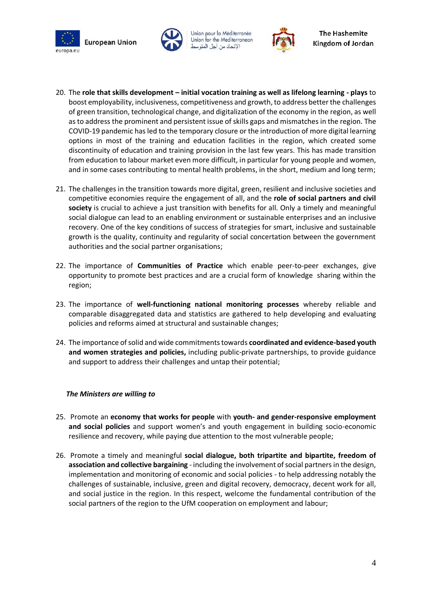**European Union** europa.eu





- 20. The **role that skills development – initial vocation training as well as lifelong learning - plays** to boost employability, inclusiveness, competitiveness and growth, to address better the challenges of green transition, technological change, and digitalization of the economy in the region, as well as to address the prominent and persistent issue of skills gaps and mismatches in the region. The COVID-19 pandemic has led to the temporary closure or the introduction of more digital learning options in most of the training and education facilities in the region, which created some discontinuity of education and training provision in the last few years. This has made transition from education to labour market even more difficult, in particular for young people and women, and in some cases contributing to mental health problems, in the short, medium and long term;
- 21. The challenges in the transition towards more digital, green, resilient and inclusive societies and competitive economies require the engagement of all, and the **role of social partners and civil society** is crucial to achieve a just transition with benefits for all. Only a timely and meaningful social dialogue can lead to an enabling environment or sustainable enterprises and an inclusive recovery. One of the key conditions of success of strategies for smart, inclusive and sustainable growth is the quality, continuity and regularity of social concertation between the government authorities and the social partner organisations;
- 22. The importance of **Communities of Practice** which enable peer-to-peer exchanges, give opportunity to promote best practices and are a crucial form of knowledge sharing within the region;
- 23. The importance of **well-functioning national monitoring processes** whereby reliable and comparable disaggregated data and statistics are gathered to help developing and evaluating policies and reforms aimed at structural and sustainable changes;
- 24. The importance of solid and wide commitments towards **coordinated and evidence-based youth and women strategies and policies,** including public-private partnerships, to provide guidance and support to address their challenges and untap their potential;

## *The Ministers are willing to*

- 25. Promote an **economy that works for people** with **youth- and gender-responsive employment and social policies** and support women's and youth engagement in building socio-economic resilience and recovery, while paying due attention to the most vulnerable people;
- 26. Promote a timely and meaningful **social dialogue, both tripartite and bipartite, freedom of association and collective bargaining** - including the involvement of social partners in the design, implementation and monitoring of economic and social policies - to help addressing notably the challenges of sustainable, inclusive, green and digital recovery, democracy, decent work for all, and social justice in the region. In this respect, welcome the fundamental contribution of the social partners of the region to the UfM cooperation on employment and labour;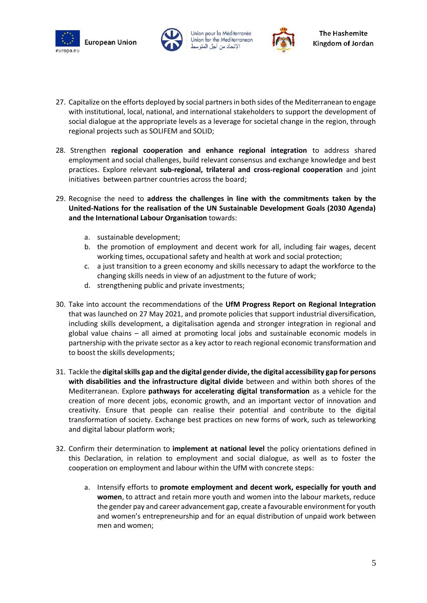





- 27. Capitalize on the efforts deployed by social partners in both sides of the Mediterranean to engage with institutional, local, national, and international stakeholders to support the development of social dialogue at the appropriate levels as a leverage for societal change in the region, through regional projects such as SOLIFEM and SOLID;
- 28. Strengthen **regional cooperation and enhance regional integration** to address shared employment and social challenges, build relevant consensus and exchange knowledge and best practices. Explore relevant **sub-regional, trilateral and cross-regional cooperation** and joint initiatives between partner countries across the board;
- 29. Recognise the need to **address the challenges in line with the commitments taken by the United-Nations for the realisation of the UN Sustainable Development Goals (2030 Agenda) and the International Labour Organisation** towards:
	- a. sustainable development;
	- b. the promotion of employment and decent work for all, including fair wages, decent working times, occupational safety and health at work and social protection;
	- c. a just transition to a green economy and skills necessary to adapt the workforce to the changing skills needs in view of an adjustment to the future of work;
	- d. strengthening public and private investments;
- 30. Take into account the recommendations of the **UfM Progress Report on Regional Integration** that was launched on 27 May 2021, and promote policies that support industrial diversification, including skills development, a digitalisation agenda and stronger integration in regional and global value chains – all aimed at promoting local jobs and sustainable economic models in partnership with the private sector as a key actor to reach regional economic transformation and to boost the skills developments;
- 31. Tackle the **digital skills gap and the digital gender divide, the digital accessibility gap for persons with disabilities and the infrastructure digital divide** between and within both shores of the Mediterranean. Explore **pathways for accelerating digital transformation** as a vehicle for the creation of more decent jobs, economic growth, and an important vector of innovation and creativity. Ensure that people can realise their potential and contribute to the digital transformation of society. Exchange best practices on new forms of work, such as teleworking and digital labour platform work;
- 32. Confirm their determination to **implement at national level** the policy orientations defined in this Declaration, in relation to employment and social dialogue, as well as to foster the cooperation on employment and labour within the UfM with concrete steps:
	- a. Intensify efforts to **promote employment and decent work, especially for youth and women**, to attract and retain more youth and women into the labour markets, reduce the gender pay and career advancement gap, create a favourable environment for youth and women's entrepreneurship and for an equal distribution of unpaid work between men and women;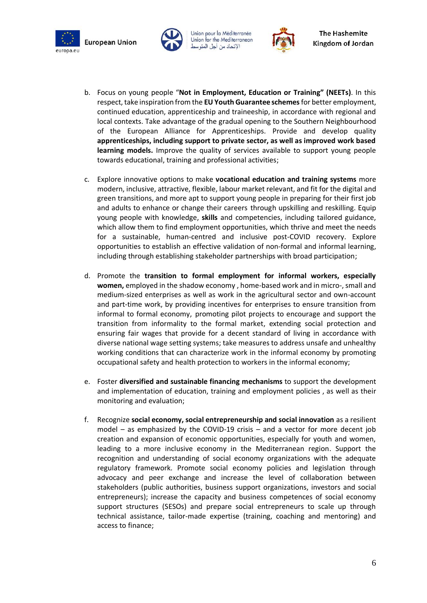**European Union** europa.eu







- b. Focus on young people "**Not in Employment, Education or Training" (NEETs)**. In this respect, take inspiration from the **EU Youth Guarantee schemes**for better employment, continued education, apprenticeship and traineeship, in accordance with regional and local contexts. Take advantage of the gradual opening to the Southern Neighbourhood of the European Alliance for Apprenticeships. Provide and develop quality **apprenticeships, including support to private sector, as well as improved work based learning models.** Improve the quality of services available to support young people towards educational, training and professional activities;
- c. Explore innovative options to make **vocational education and training systems** more modern, inclusive, attractive, flexible, labour market relevant, and fit for the digital and green transitions, and more apt to support young people in preparing for their first job and adults to enhance or change their careers through upskilling and reskilling. Equip young people with knowledge, **skills** and competencies, including tailored guidance, which allow them to find employment opportunities, which thrive and meet the needs for a sustainable, human-centred and inclusive post-COVID recovery. Explore opportunities to establish an effective validation of non-formal and informal learning, including through establishing stakeholder partnerships with broad participation;
- d. Promote the **transition to formal employment for informal workers, especially women,** employed in the shadow economy , home-based work and in micro-, small and medium-sized enterprises as well as work in the agricultural sector and own-account and part-time work, by providing incentives for enterprises to ensure transition from informal to formal economy, promoting pilot projects to encourage and support the transition from informality to the formal market, extending social protection and ensuring fair wages that provide for a decent standard of living in accordance with diverse national wage setting systems; take measures to address unsafe and unhealthy working conditions that can characterize work in the informal economy by promoting occupational safety and health protection to workers in the informal economy;
- e. Foster **diversified and sustainable financing mechanisms** to support the development and implementation of education, training and employment policies , as well as their monitoring and evaluation;
- f. Recognize **social economy, social entrepreneurship and social innovation** as a resilient model – as emphasized by the COVID-19 crisis – and a vector for more decent job creation and expansion of economic opportunities, especially for youth and women, leading to a more inclusive economy in the Mediterranean region. Support the recognition and understanding of social economy organizations with the adequate regulatory framework. Promote social economy policies and legislation through advocacy and peer exchange and increase the level of collaboration between stakeholders (public authorities, business support organizations, investors and social entrepreneurs); increase the capacity and business competences of social economy support structures (SESOs) and prepare social entrepreneurs to scale up through technical assistance, tailor-made expertise (training, coaching and mentoring) and access to finance;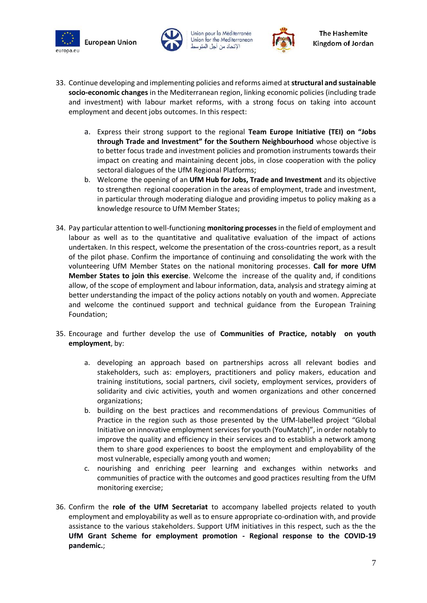**European Union** europa.eu







- 33. Continue developing and implementing policies and reforms aimed at **structural and sustainable socio-economic changes** in the Mediterranean region, linking economic policies (including trade and investment) with labour market reforms, with a strong focus on taking into account employment and decent jobs outcomes. In this respect:
	- a. Express their strong support to the regional **Team Europe Initiative (TEI) on "Jobs through Trade and Investment" for the Southern Neighbourhood** whose objective is to better focus trade and investment policies and promotion instruments towards their impact on creating and maintaining decent jobs, in close cooperation with the policy sectoral dialogues of the UfM Regional Platforms;
	- b. Welcome the opening of an **UfM Hub for Jobs, Trade and Investment** and its objective to strengthen regional cooperation in the areas of employment, trade and investment, in particular through moderating dialogue and providing impetus to policy making as a knowledge resource to UfM Member States;
- 34. Pay particular attention to well-functioning **monitoring processes**in the field of employment and labour as well as to the quantitative and qualitative evaluation of the impact of actions undertaken. In this respect, welcome the presentation of the cross-countries report, as a result of the pilot phase. Confirm the importance of continuing and consolidating the work with the volunteering UfM Member States on the national monitoring processes. **Call for more UfM Member States to join this exercise**. Welcome the increase of the quality and, if conditions allow, of the scope of employment and labour information, data, analysis and strategy aiming at better understanding the impact of the policy actions notably on youth and women. Appreciate and welcome the continued support and technical guidance from the European Training Foundation;
- 35. Encourage and further develop the use of **Communities of Practice, notably on youth employment**, by:
	- a. developing an approach based on partnerships across all relevant bodies and stakeholders, such as: employers, practitioners and policy makers, education and training institutions, social partners, civil society, employment services, providers of solidarity and civic activities, youth and women organizations and other concerned organizations;
	- b. building on the best practices and recommendations of previous Communities of Practice in the region such as those presented by the UfM-labelled project "Global Initiative on innovative employment services for youth (YouMatch)", in order notably to improve the quality and efficiency in their services and to establish a network among them to share good experiences to boost the employment and employability of the most vulnerable, especially among youth and women;
	- c. nourishing and enriching peer learning and exchanges within networks and communities of practice with the outcomes and good practices resulting from the UfM monitoring exercise;
- 36. Confirm the **role of the UfM Secretariat** to accompany labelled projects related to youth employment and employability as well as to ensure appropriate co-ordination with, and provide assistance to the various stakeholders. Support UfM initiatives in this respect, such as the the **UfM Grant Scheme for employment promotion - Regional response to the COVID-19 pandemic.**;